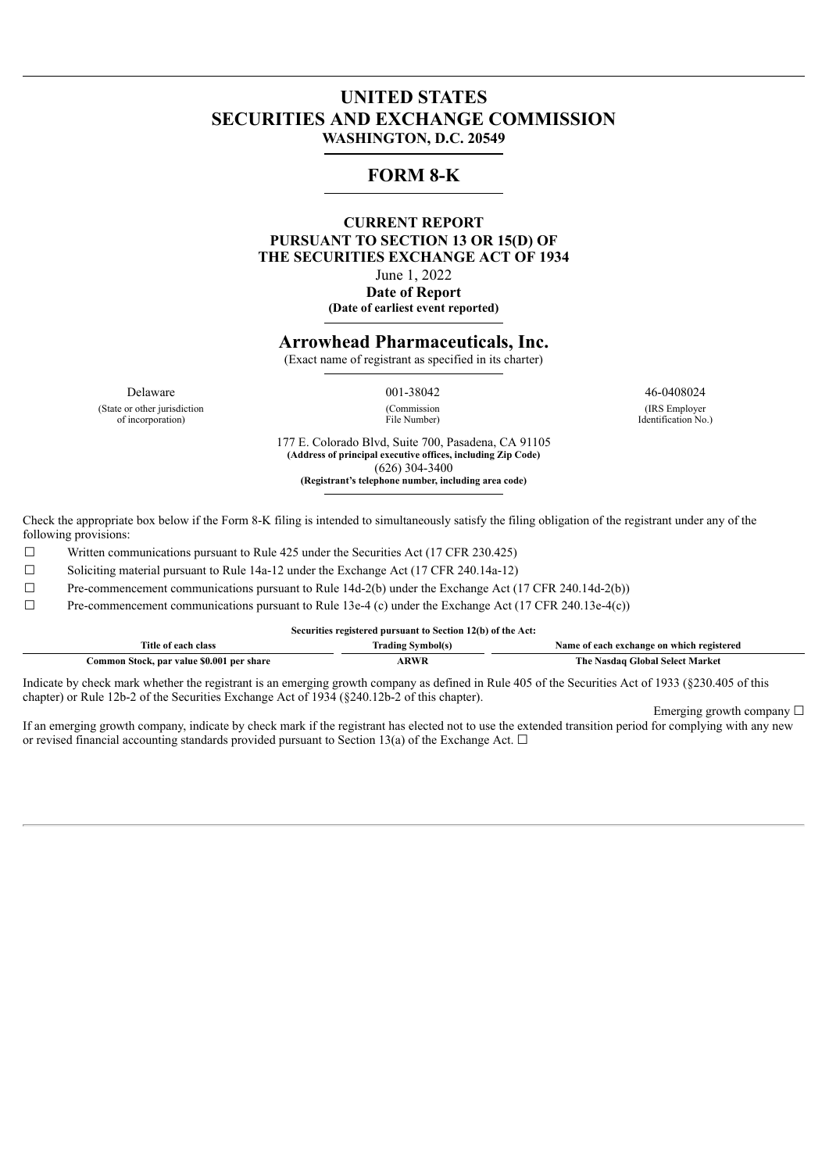# **UNITED STATES SECURITIES AND EXCHANGE COMMISSION WASHINGTON, D.C. 20549**

## **FORM 8-K**

#### **CURRENT REPORT PURSUANT TO SECTION 13 OR 15(D) OF THE SECURITIES EXCHANGE ACT OF 1934** June 1, 2022 **Date of Report (Date of earliest event reported)**

### **Arrowhead Pharmaceuticals, Inc.**

(Exact name of registrant as specified in its charter)

Delaware 001-38042 46-0408024 (State or other jurisdiction of incorporation)

(Commission File Number)

(IRS Employer Identification No.)

177 E. Colorado Blvd, Suite 700, Pasadena, CA 91105 **(Address of principal executive offices, including Zip Code)** (626) 304-3400 **(Registrant's telephone number, including area code)**

Check the appropriate box below if the Form 8-K filing is intended to simultaneously satisfy the filing obligation of the registrant under any of the following provisions:

☐ Written communications pursuant to Rule 425 under the Securities Act (17 CFR 230.425)

☐ Soliciting material pursuant to Rule 14a-12 under the Exchange Act (17 CFR 240.14a-12)

☐ Pre-commencement communications pursuant to Rule 14d-2(b) under the Exchange Act (17 CFR 240.14d-2(b))

 $\Box$  Pre-commencement communications pursuant to Rule 13e-4 (c) under the Exchange Act (17 CFR 240.13e-4(c))

|                                           | Securities registered pursuant to Section 12(b) of the Act: |                                                                                                                                                                                                                                                                                                  |
|-------------------------------------------|-------------------------------------------------------------|--------------------------------------------------------------------------------------------------------------------------------------------------------------------------------------------------------------------------------------------------------------------------------------------------|
| Title of each class                       | <b>Trading Symbol(s)</b>                                    | Name of each exchange on which registered                                                                                                                                                                                                                                                        |
| Common Stock, par value \$0.001 per share | <b>ARWR</b>                                                 | The Nasdaq Global Select Market                                                                                                                                                                                                                                                                  |
| .                                         |                                                             | $\mathbf{A}$ and $\mathbf{A}$ and $\mathbf{A}$ and $\mathbf{A}$ and $\mathbf{A}$ and $\mathbf{A}$ and $\mathbf{A}$ and $\mathbf{A}$ and $\mathbf{A}$ and $\mathbf{A}$ and $\mathbf{A}$ and $\mathbf{A}$ and $\mathbf{A}$ and $\mathbf{A}$ and $\mathbf{A}$ and $\mathbf{A}$ and $\mathbf{A}$ and |

Indicate by check mark whether the registrant is an emerging growth company as defined in Rule 405 of the Securities Act of 1933 (§230.405 of this chapter) or Rule 12b-2 of the Securities Exchange Act of 1934 (§240.12b-2 of this chapter).

Emerging growth company  $\Box$ 

If an emerging growth company, indicate by check mark if the registrant has elected not to use the extended transition period for complying with any new or revised financial accounting standards provided pursuant to Section 13(a) of the Exchange Act.  $\Box$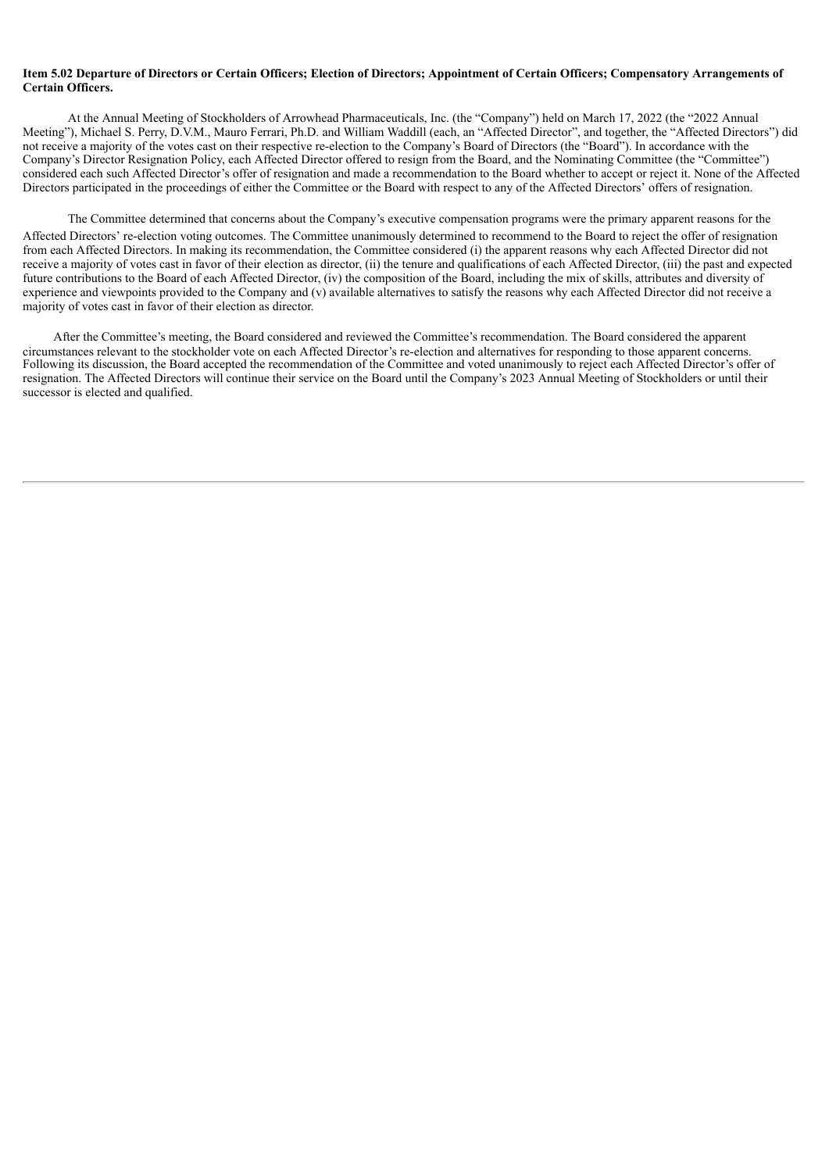#### Item 5.02 Departure of Directors or Certain Officers; Election of Directors; Appointment of Certain Officers; Compensatory Arrangements of **Certain Officers.**

At the Annual Meeting of Stockholders of Arrowhead Pharmaceuticals, Inc. (the "Company") held on March 17, 2022 (the "2022 Annual Meeting"), Michael S. Perry, D.V.M., Mauro Ferrari, Ph.D. and William Waddill (each, an "Affected Director", and together, the "Affected Directors") did not receive a majority of the votes cast on their respective re-election to the Company's Board of Directors (the "Board"). In accordance with the Company's Director Resignation Policy, each Affected Director offered to resign from the Board, and the Nominating Committee (the "Committee") considered each such Affected Director's offer of resignation and made a recommendation to the Board whether to accept or reject it. None of the Affected Directors participated in the proceedings of either the Committee or the Board with respect to any of the Affected Directors' offers of resignation.

The Committee determined that concerns about the Company's executive compensation programs were the primary apparent reasons for the Affected Directors' re-election voting outcomes. The Committee unanimously determined to recommend to the Board to reject the offer of resignation from each Affected Directors. In making its recommendation, the Committee considered (i) the apparent reasons why each Affected Director did not receive a majority of votes cast in favor of their election as director, (ii) the tenure and qualifications of each Affected Director, (iii) the past and expected future contributions to the Board of each Affected Director, (iv) the composition of the Board, including the mix of skills, attributes and diversity of experience and viewpoints provided to the Company and (v) available alternatives to satisfy the reasons why each Affected Director did not receive a majority of votes cast in favor of their election as director.

After the Committee's meeting, the Board considered and reviewed the Committee's recommendation. The Board considered the apparent circumstances relevant to the stockholder vote on each Affected Director's re-election and alternatives for responding to those apparent concerns. Following its discussion, the Board accepted the recommendation of the Committee and voted unanimously to reject each Affected Director's offer of resignation. The Affected Directors will continue their service on the Board until the Company's 2023 Annual Meeting of Stockholders or until their successor is elected and qualified.